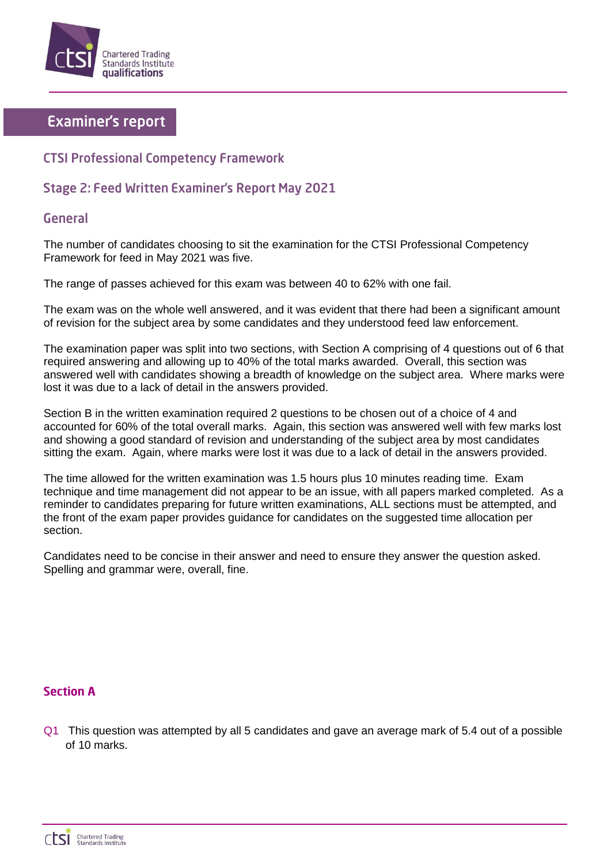

# **Examiner's report**

## **CTSI Professional Competency Framework**

## Stage 2: Feed Written Examiner's Report May 2021

### **General**

The number of candidates choosing to sit the examination for the CTSI Professional Competency Framework for feed in May 2021 was five.

The range of passes achieved for this exam was between 40 to 62% with one fail.

The exam was on the whole well answered, and it was evident that there had been a significant amount of revision for the subject area by some candidates and they understood feed law enforcement.

The examination paper was split into two sections, with Section A comprising of 4 questions out of 6 that required answering and allowing up to 40% of the total marks awarded. Overall, this section was answered well with candidates showing a breadth of knowledge on the subject area. Where marks were lost it was due to a lack of detail in the answers provided.

Section B in the written examination required 2 questions to be chosen out of a choice of 4 and accounted for 60% of the total overall marks. Again, this section was answered well with few marks lost and showing a good standard of revision and understanding of the subject area by most candidates sitting the exam. Again, where marks were lost it was due to a lack of detail in the answers provided.

The time allowed for the written examination was 1.5 hours plus 10 minutes reading time. Exam technique and time management did not appear to be an issue, with all papers marked completed. As a reminder to candidates preparing for future written examinations, ALL sections must be attempted, and the front of the exam paper provides guidance for candidates on the suggested time allocation per section.

Candidates need to be concise in their answer and need to ensure they answer the question asked. Spelling and grammar were, overall, fine.

#### **Section A**

Q1 This question was attempted by all 5 candidates and gave an average mark of 5.4 out of a possible of 10 marks.

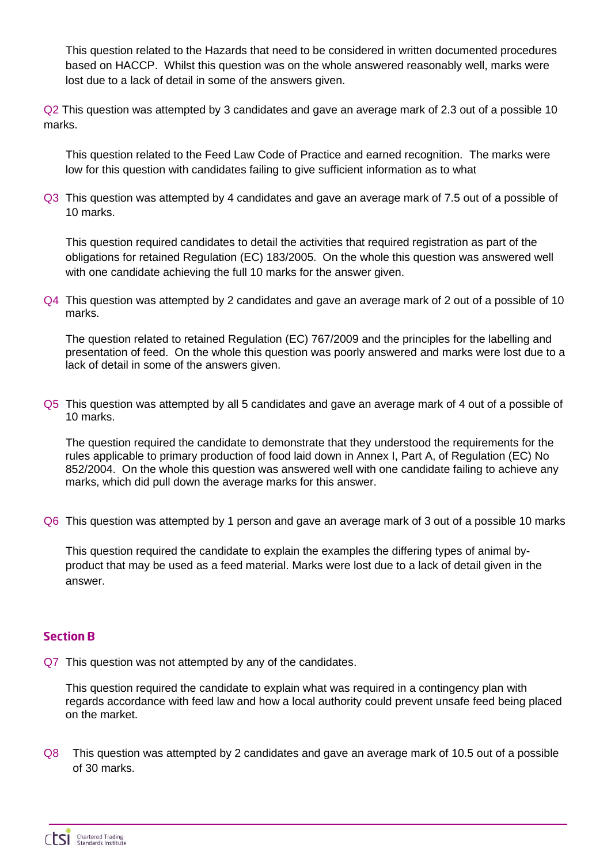This question related to the Hazards that need to be considered in written documented procedures based on HACCP. Whilst this question was on the whole answered reasonably well, marks were lost due to a lack of detail in some of the answers given.

Q2 This question was attempted by 3 candidates and gave an average mark of 2.3 out of a possible 10 marks.

This question related to the Feed Law Code of Practice and earned recognition. The marks were low for this question with candidates failing to give sufficient information as to what

Q3 This question was attempted by 4 candidates and gave an average mark of 7.5 out of a possible of 10 marks.

This question required candidates to detail the activities that required registration as part of the obligations for retained Regulation (EC) 183/2005. On the whole this question was answered well with one candidate achieving the full 10 marks for the answer given.

Q4 This question was attempted by 2 candidates and gave an average mark of 2 out of a possible of 10 marks.

The question related to retained Regulation (EC) 767/2009 and the principles for the labelling and presentation of feed. On the whole this question was poorly answered and marks were lost due to a lack of detail in some of the answers given.

Q5 This question was attempted by all 5 candidates and gave an average mark of 4 out of a possible of 10 marks.

The question required the candidate to demonstrate that they understood the requirements for the rules applicable to primary production of food laid down in Annex I, Part A, of Regulation (EC) No 852/2004. On the whole this question was answered well with one candidate failing to achieve any marks, which did pull down the average marks for this answer.

Q6 This question was attempted by 1 person and gave an average mark of 3 out of a possible 10 marks

This question required the candidate to explain the examples the differing types of animal byproduct that may be used as a feed material. Marks were lost due to a lack of detail given in the answer.

## **Section R**

Q7 This question was not attempted by any of the candidates.

This question required the candidate to explain what was required in a contingency plan with regards accordance with feed law and how a local authority could prevent unsafe feed being placed on the market.

Q8 This question was attempted by 2 candidates and gave an average mark of 10.5 out of a possible of 30 marks.